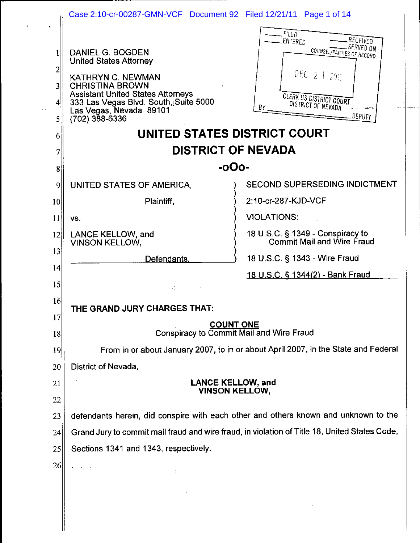|                                      | Case 2:10-cr-00287-GMN-VCF Document 92 Filed 12/21/11 Page 1 of 14                                                                                                                                                                   |                                                                                                                                                           |
|--------------------------------------|--------------------------------------------------------------------------------------------------------------------------------------------------------------------------------------------------------------------------------------|-----------------------------------------------------------------------------------------------------------------------------------------------------------|
| 1<br>2<br>$\overline{3}$<br> 4 <br>5 | DANIEL G. BOGDEN<br><b>United States Attorney</b><br>KATHRYN C. NEWMAN<br><b>CHRISTINA BROWN</b><br><b>Assistant United States Attorneys</b><br>333 Las Vegas Blvd. South, Suite 5000<br>Las Vegas, Nevada 89101<br>$(702)$ 388-6336 | FILED<br>, RECEIVED<br>ENTERED<br>COUNSEL/PARTIES OF RECORD<br>DEC 2 1 201<br><b>CLERK US DISTRICT COURT</b><br>DISTRICT OF NEVADA<br>ΒY<br><b>DEPUTY</b> |
| 6                                    | UNITED STATES DISTRICT COURT                                                                                                                                                                                                         |                                                                                                                                                           |
| 7                                    | <b>DISTRICT OF NEVADA</b>                                                                                                                                                                                                            |                                                                                                                                                           |
| 8                                    | -oOo-                                                                                                                                                                                                                                |                                                                                                                                                           |
| 9                                    | UNITED STATES OF AMERICA,                                                                                                                                                                                                            | <b>SECOND SUPERSEDING INDICTMENT</b>                                                                                                                      |
| 10                                   | Plaintiff.                                                                                                                                                                                                                           | 2:10-cr-287-KJD-VCF                                                                                                                                       |
| 11                                   | VS.                                                                                                                                                                                                                                  | <b>VIOLATIONS:</b>                                                                                                                                        |
| 12                                   | LANCE KELLOW, and<br><b>VINSON KELLOW,</b>                                                                                                                                                                                           | 18 U.S.C. § 1349 - Conspiracy to<br>Commit Mail and Wire Fraud                                                                                            |
| 13                                   | Defendants.                                                                                                                                                                                                                          | 18 U.S.C. § 1343 - Wire Fraud                                                                                                                             |
| 14                                   |                                                                                                                                                                                                                                      | 18 U.S.C. § 1344(2) - Bank Fraud                                                                                                                          |
| 15                                   | $\mathcal{L}^{\mathcal{A}}_{\mathcal{A}}$                                                                                                                                                                                            |                                                                                                                                                           |
| 16                                   | THE GRAND JURY CHARGES THAT:                                                                                                                                                                                                         |                                                                                                                                                           |
| 17<br>18                             | <b>COUNT ONE</b><br>Conspiracy to Commit Mail and Wire Fraud                                                                                                                                                                         |                                                                                                                                                           |
| 19                                   |                                                                                                                                                                                                                                      | From in or about January 2007, to in or about April 2007, in the State and Federal                                                                        |
| 20                                   | District of Nevada,                                                                                                                                                                                                                  |                                                                                                                                                           |
| 21                                   | <b>LANCE KELLOW, and</b>                                                                                                                                                                                                             |                                                                                                                                                           |
| 22                                   | <b>VINSON KELLOW,</b>                                                                                                                                                                                                                |                                                                                                                                                           |
| 23                                   | defendants herein, did conspire with each other and others known and unknown to the                                                                                                                                                  |                                                                                                                                                           |
| 24                                   | Grand Jury to commit mail fraud and wire fraud, in violation of Title 18, United States Code,                                                                                                                                        |                                                                                                                                                           |
| 25                                   | Sections 1341 and 1343, respectively.                                                                                                                                                                                                |                                                                                                                                                           |
| 26                                   |                                                                                                                                                                                                                                      |                                                                                                                                                           |
|                                      |                                                                                                                                                                                                                                      |                                                                                                                                                           |

 $\mathcal{L}^{\pm}$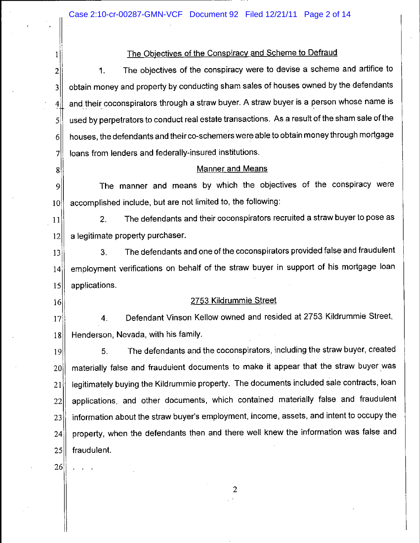## The Objectives of the Conspiracy and Scheme to Defraud

The objectives of the conspiracy were to devise a scheme and artifice to  $1.$  $\overline{2}$ obtain money and property by conducting sham sales of houses owned by the defendants  $\overline{\mathbf{3}}$ and their coconspirators through a straw buyer. A straw buyer is a person whose name is  $4$ used by perpetrators to conduct real estate transactions. As a result of the sham sale of the  $\mathsf{S}$ houses, the defendants and their co-schemers were able to obtain money through mortgage  $6 \mid$ loans from lenders and federally-insured institutions.  $\overline{7}$ 

## **Manner and Means**

The manner and means by which the objectives of the conspiracy were  $\overline{9}$ accomplished include, but are not limited to, the following:  $10<sup>1</sup>$ 

The defendants and their coconspirators recruited a straw buyer to pose as  $2.$  $11$ a legitimate property purchaser.  $12$ 

The defendants and one of the coconspirators provided false and fraudulent  $13$  $3<sub>1</sub>$ employment verifications on behalf of the straw buyer in support of his mortgage loan  $14$ applications.  $15$ 

# 2753 Kildrummie Street

Defendant Vinson Kellow owned and resided at 2753 Kildrummie Street,  $\overline{4}$ .  $|17|$ Henderson, Nevada, with his family.  $18$ 

The defendants and the coconspirators, including the straw buyer, created 5.  $|19|$ materially false and fraudulent documents to make it appear that the straw buyer was  $20<sub>1</sub>$ legitimately buying the Kildrummie property. The documents included sale contracts, loan 21 applications, and other documents, which contained materially false and fraudulent  $22$ information about the straw buyer's employment, income, assets, and intent to occupy the  $23$ property, when the defendants then and there well knew the information was false and  $24$ 25 fraudulent.

 $26$ 

 $\mathbf{I}$ 

 $8<sup>1</sup>$ 

 $16$ 

 $\overline{2}$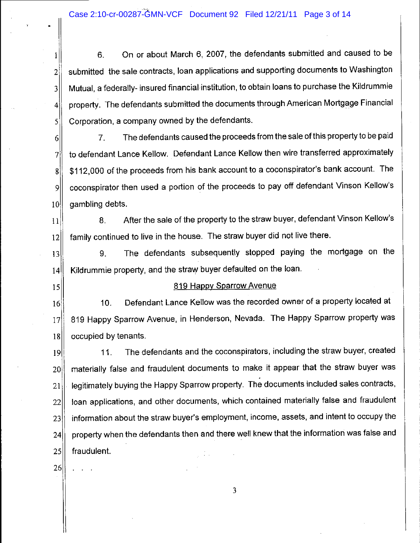$1$  6. On or about March 6, 2007, the defendants submitted and caused to be  $2\parallel$  submitted the sale contracts, loan applications and supporting documents to Washington 3<sup>|</sup> Mutual, a federally-insured financial institution, to obtain loans to purchase the Kildrummie 4 property. The defendants submitted the documents through American Mortgage Financial 5 Corporation, a company owned by the defendants.

6 7. Thedefendantscausedtheproceedsfrom thesaleofthispropertytcbepaid 7 to defendant Lance Kellow. Defendant Lance Kellow then wire transferred approximately 8 \| \$112,000 of the proceeds from his bank account to a coconspirator's bank account. The 9|| coconspirator then used a portion of the proceeds to pay off defendant Vinson Kellow's  $10$  gambling debts.

 $11$  8. After the sale of the property to the straw buyer, defendant Vinson Kellow's 12 family continued to live in the house. The straw buyer did not live there.

13|| 9. The defendants subsequently stopped paying the mortgage on the 14 Kildrummie property, and the straw buyer defaulted on the loan.

## 15 819 Happy Sparrow Avenue

|<br>|<br>|

I

:

i

i

|<br>|<br>| I |<br>|<br>|

!<br>!

ja kalendaru (\* 1918)<br>1910 - Johann Barnett, francuski politik (\* 1918)<br>1910 - Johann Barnett, francuski politik (\* 1918)

16 16 10. Defendant Lance Kellow was the recorded owner of a property located at 17 819 Happy Sparrow Avenue, in Henderson, Nevada. The Happy Sparrow property was 18 occupied by tenants.

19 11. The defendants and the coconspirators, including the straw buyer, created 20 materially false and fraudulent documents to make it appear that the straw buyer was  $21$  Iegitimately buying the Happy Sparrow property. The documents included sales contracts, 22|| Ioan applications, and other documents, which contained materially false and fraudulent  $23$  information about the straw buyer's employment, income, assets, and intent to occupy the  $24$  property when the defendants then and there well knew that the information was false and 25 fraudulent. i

 $\sim$  26  $\sim$  26  $\sim$  26  $\sim$  26  $\sim$  26  $\sim$  26  $\sim$  26  $\sim$  26  $\sim$  26  $\sim$  26  $\sim$  26  $\sim$  26  $\sim$ 

. . . .

3 !

. je po se obrazu se obrazu se obrazu se obrazu se obrazu se obrazu se obrazu se obrazu se obrazu se obrazu se<br>Po se obrazu se obrazu se obrazu se obrazu se obrazu se obrazu se obrazu se obrazu se obrazu se obrazu se obra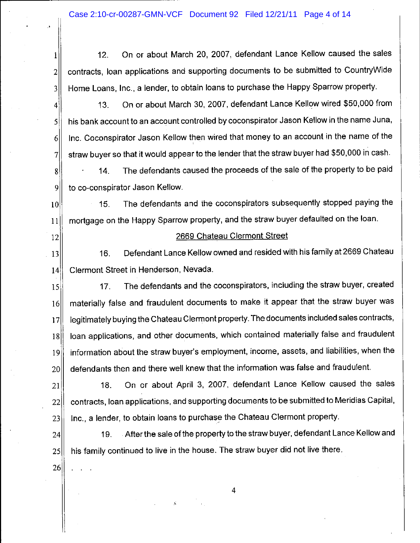1<sup>1</sup> 12. On or about March 20, 2007, defendant Lance Kellow caused the sales  $2\parallel$  contracts, loan applications and supporting documents to be submitted to CountryWide 3 Home Loans, Inc., a lender, to obtain loans to purchase the Happy Sparrow property.

4. 41 13. On or about March 30, 2007, defendant Lance Kellow wired \$50,000 from 5<sup>1</sup> his bank account to an account controlled by coconspirator Jason Kellow in the name Juna, 6 Inc. Coconspirator Jason Kellow then wired that money to an account in the name of the  $\vert$  $7$  straw buyer so that it would appear to the lender that the straw buyer had \$50,000 in cash.

 $8$   $\left| \right|$  14. The defendants caused the proceeds of the sale of the property to be paid 9 to co-conspirator Jason Kellow.

:

10|| 15. The defendants and the coconspirators subsequently stopped paying the 11 mortgage on the Happy Sparrow property, and the straw buyer defaulted on the loan.

# 12 || 2669 Chateau Clermont Street

13 16. Defendant Lance Kellow owned and resided with his family at 2669 Chateau 14 Clermont Street in Henderson, Nevada.

15 15 17. The defendants and the coconspirators, including the straw buyer, created 16 materially false and fraudulent documents to make it appear that the straw buyer was 17 | legitimately buying the Chateau Clermont property. The documents included sales contracts, 18| Ioan applications, and other documents, which contained materially false and fraudulent 19 information about the straw buyer's employment, income, assets, and liabilities, when the 20 defendants then and there well knew that the information was false and fraudulent.

21|| 18. On or about April 3, 2007, defendant Lance Kellow caused the sales 22 contracts, Ioan applications, and supporting documents to be submitted to Meridias Capital,  $23$  Inc., a lender, to obtain loans to purchase the Chateau Clermont property.

24 19. After the sale of the property to the straw buyer, defendant Lance Kellow and 25|| his family continued to live in the house. The straw buyer did not live there.

 $26$ 

,  $11 - 11$  . The set of  $\mathcal{H}^1$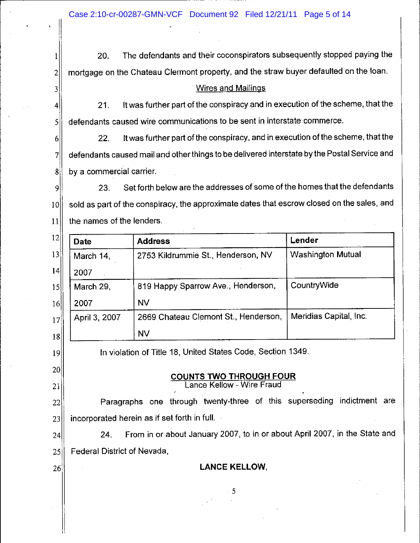20. The defendants and their coconspirators subsequently stopped paying the mortgage on the Chateau Clermont property, and the straw buyer defaulted on the Ioan.  $\overline{2}$ 

# Wires and Mailings

21. It was further part of the conspiracy and in execution of the scheme, that the defendants caused wire communications to be sent in interstate commerce.

22. It was further part of the conspiracy, and in execution of the scheme, that the  $6<sup>1</sup>$ defendants caused mail and other things to be delivered interstate by the Postal Service and 7 by a commercial carrier.  $8<sup>1</sup>$ 

23. Set forth below are the addresses of some of the homes that the defendants 9 sold as part of the conspiracy, the approximate dates that escrow closed on the sales, and  $10<sup>1</sup>$ the names of the lenders.  $11$ 

| 12              | <b>Date</b>   | <b>Address</b>                       | Lender                   |
|-----------------|---------------|--------------------------------------|--------------------------|
| 13              | March 14,     | 2753 Kildrummie St., Henderson, NV   | <b>Washington Mutual</b> |
| 14              | 2007          |                                      |                          |
| 15              | March 29,     | 819 Happy Sparrow Ave., Henderson,   | CountryWide              |
| 16              | 2007          | <b>NV</b>                            |                          |
| 17 <sup>1</sup> | April 3, 2007 | 2669 Chateau Clemont St., Henderson, | Meridias Capital, Inc.   |
| 18              |               | <b>NV</b>                            |                          |

In violation of Title 18, United States Code, Section 1349.

#### COUNTS TWO THROUGH FOUR Lance Kellow - Wire Fraud

Paragraphs one through twenty-three of this superseding indiçtment are 22 incorporated herein as if set forth in full.  $23$ 

24. From in or about January 2007, to in or about April 2007, in the State and 24 Federal District of Nevada, 25

26

 $19$ 

 $20<sup>1</sup>$ 

21

1

3

4

5

LANCE KELLOW,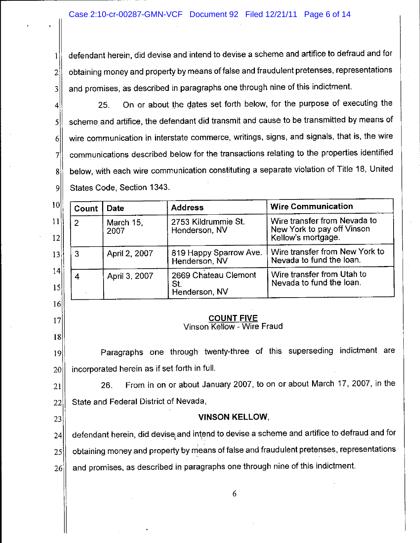$1$  defendant herein, did devise and intend to devise a scheme and artifice to defraud and for  $2\parallel$  obtaining money and property by means of false and fraudulent pretenses, representations  $3$  and promises, as described in paragraphs one through nine of this indictment.

 $4$  25. On or about the dates set forth below, for the purpose of executing the 5 scheme and artifice, the defendant did transmit and cause to be transmitted by means of  $6$  wire communication in interstate commerce, writings, signs, and signals, that is, the wire 7. communications described below for the transactions relating to the properties identified 8 below, with each wire communication constituting a separate violation of Title 18, United 9 States Code, Section 1343.

In the case of the case of the case of the case of the case of the case of the case of the case of the case of

| Count | Date              | <b>Address</b>                               | <b>Wire Communication</b>                                                        |
|-------|-------------------|----------------------------------------------|----------------------------------------------------------------------------------|
| 2     | March 15,<br>2007 | 2753 Kildrummie St.<br>Henderson, NV         | Wire transfer from Nevada to<br>New York to pay off Vinson<br>Kellow's mortgage. |
| 3     | April 2, 2007     | 819 Happy Sparrow Ave.<br>Henderson, NV      | Wire transfer from New York to<br>Nevada to fund the loan.                       |
|       | April 3, 2007     | 2669 Chateau Clemont<br>St.<br>Henderson, NV | Wire transfer from Utah to<br>Nevada to fund the loan.                           |

# $17$  COUNT FIVE

Vinson Kellow - Wire Fraud

19 Paragraphs one through twenty-three of this superseding indictment are 20 incorporated herein as if set forth in full.

 $21$  26. From in on or about January 2007, to on or about March 17, 2007, in the 22 State and Federal District of Nevada,

16

l8

# 23 VINSON KELLOW,

 $24$  defendant herein, did devise and intend to devise a scheme and artifice to defraud and for 25 obtaining money and property by means of false and fraudulent pretenses, representations  $26$  and promises, as described in paragraphs one through nine of this indictment.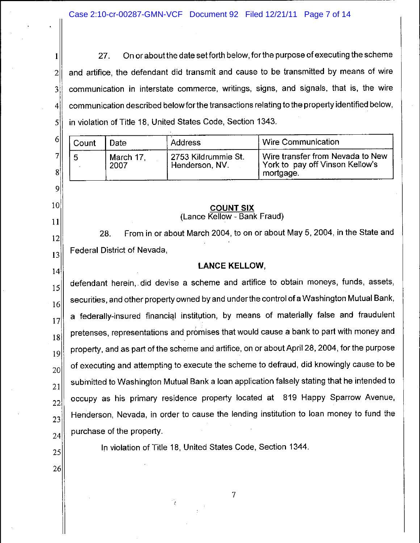On or about the date set forth below, for the purpose of executing the scheme 27. 1 and artifice, the defendant did transmit and cause to be transmitted by means of wire  $\overline{2}$ communication in interstate commerce, writings, signs, and signals, that is, the wire  $3^{\circ}$ communication described below for the transactions relating to the property identified below.  $\overline{4}$ in violation of Title 18, United States Code, Section 1343. 5

| 6      | Count | Date              | <b>Address</b>                        | Wire Communication                                                               |
|--------|-------|-------------------|---------------------------------------|----------------------------------------------------------------------------------|
| ᆋ<br>8 |       | March 17,<br>2007 | 2753 Kildrummie St.<br>Henderson, NV. | Wire transfer from Nevada to New<br>York to pay off Vinson Kellow's<br>mortgage. |

 $\overline{9}$ 

10

 $11$ 

12

13

 $|14|$ 

25

26

#### **COUNT SIX** (Lance Kellow - Bank Fraud)

From in or about March 2004, to on or about May 5, 2004, in the State and 28. Federal District of Nevada,

# **LANCE KELLOW,**

defendant herein, did devise a scheme and artifice to obtain moneys, funds, assets,  $15$ securities, and other property owned by and under the control of a Washington Mutual Bank,  $16$ a federally-insured financial institution, by means of materially false and fraudulent  $17$ pretenses, representations and promises that would cause a bank to part with money and 18 property, and as part of the scheme and artifice, on or about April 28, 2004, for the purpose  $19$ of executing and attempting to execute the scheme to defraud, did knowingly cause to be 20 submitted to Washington Mutual Bank a loan application falsely stating that he intended to 21 occupy as his primary residence property located at 819 Happy Sparrow Avenue, 22 Henderson, Nevada, in order to cause the lending institution to loan money to fund the 23 purchase of the property. 24

In violation of Title 18, United States Code, Section 1344.

 $\overline{7}$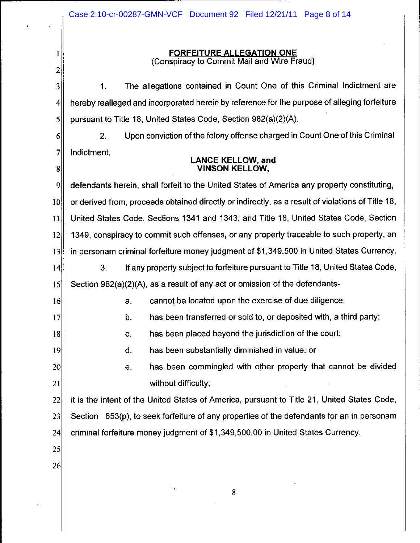|                 | Case 2:10-cr-00287-GMN-VCF Document 92 Filed 12/21/11 Page 8 of 14                                |  |
|-----------------|---------------------------------------------------------------------------------------------------|--|
|                 |                                                                                                   |  |
| 1               | <b>FORFEITURE ALLEGATION ONE</b>                                                                  |  |
| 2               | (Conspiracy to Commit Mail and Wire Fraud)                                                        |  |
| 3               | The allegations contained in Count One of this Criminal Indictment are<br>1.                      |  |
| $\vert 4 \vert$ | hereby realleged and incorporated herein by reference for the purpose of alleging forfeiture      |  |
| 5               | pursuant to Title 18, United States Code, Section 982(a)(2)(A).                                   |  |
| 6               | Upon conviction of the felony offense charged in Count One of this Criminal<br>2.                 |  |
| $\overline{7}$  | Indictment,                                                                                       |  |
| 8               | <b>LANCE KELLOW, and</b><br><b>VINSON KELLOW,</b>                                                 |  |
| 9               | defendants herein, shall forfeit to the United States of America any property constituting,       |  |
| 10              | or derived from, proceeds obtained directly or indirectly, as a result of violations of Title 18, |  |
| 11              | United States Code, Sections 1341 and 1343; and Title 18, United States Code, Section             |  |
| 12              | 1349, conspiracy to commit such offenses, or any property traceable to such property, an          |  |
| 13              | in personam criminal forfeiture money judgment of \$1,349,500 in United States Currency.          |  |
| 14              | If any property subject to forfeiture pursuant to Title 18, United States Code,<br>3.             |  |
| 15              | Section 982(a)(2)(A), as a result of any act or omission of the defendants-                       |  |
| 16              | cannot be located upon the exercise of due diligence;<br>a.                                       |  |
| 17              | has been transferred or sold to, or deposited with, a third party;<br>b.                          |  |
| 18              | has been placed beyond the jurisdiction of the court;<br>C.                                       |  |
| 19              | has been substantially diminished in value; or<br>d.                                              |  |
| 20              | has been commingled with other property that cannot be divided<br>e.                              |  |
| 21              | without difficulty;                                                                               |  |
| 22              | it is the intent of the United States of America, pursuant to Title 21, United States Code,       |  |
| 23              | Section 853(p), to seek forfeiture of any properties of the defendants for an in personam         |  |
| 24              | criminal forfeiture money judgment of \$1,349,500.00 in United States Currency.                   |  |
| 25              |                                                                                                   |  |
| 26              |                                                                                                   |  |
|                 | 8                                                                                                 |  |
|                 |                                                                                                   |  |

 $\mathcal{A}^{\mathcal{A}}$ 

k.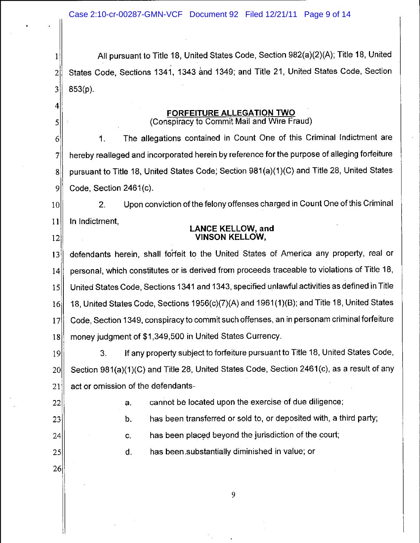All pursuant to Title 18, United States Code, Section 982(a)(2)(A); Title 18, United 1 States Code, Sections 1341, 1343 and 1349; and Title 21, United States Code, Section  $\overline{2}$  $853(p)$ . 3

#### FORFEITURE ALLEGATION TWO (Conspiracy to Commit Mail and Wire Fraud)

The allegations contained in Count One of this Criminal Indictment are  $6<sup>1</sup>$  $\mathbf{1}$ . hereby realleged and incorporated herein by reference for the purpose of alleging forfeiture 7 pursuant to Title 18, United States Code, Section 981(a)(1)(C) and Title 28, United States  $\bf{8}$ 9 Code, Section 2461(c).

Upon conviction of the felony offenses charged in Count One of this Criminal  $10<sup>1</sup>$  $2.$ 11 In Indictment.

# **LANCE KELLOW, and VINSON KELLOW.**

defendants herein, shall forfeit to the United States of America any property, real or  $13$ personal, which constitutes or is derived from proceeds traceable to violations of Title 18.  $14$ United States Code, Sections 1341 and 1343, specified unlawful activities as defined in Title  $15$ 18, United States Code, Sections 1956(c)(7)(A) and 1961(1)(B); and Title 18, United States 16 Code, Section 1349, conspiracy to commit such offenses, an in personam criminal forfeiture  $17$ money judgment of \$1,349,500 in United States Currency. 18

If any property subject to forfeiture pursuant to Title 18, United States Code,  $3.$ 19 Section 981(a)(1)(C) and Title 28, United States Code, Section 2461(c), as a result of any 20 act or omission of the defendants-21

22

 $\overline{4}$ 

5

 $|12|$ 

cannot be located upon the exercise of due diligence; a.

 $23$ 

has been transferred or sold to, or deposited with, a third party; b.

 $24$ 

has been placed beyond the jurisdiction of the court; C.

d. has been substantially diminished in value; or

26

 $25<sub>l</sub>$ 

9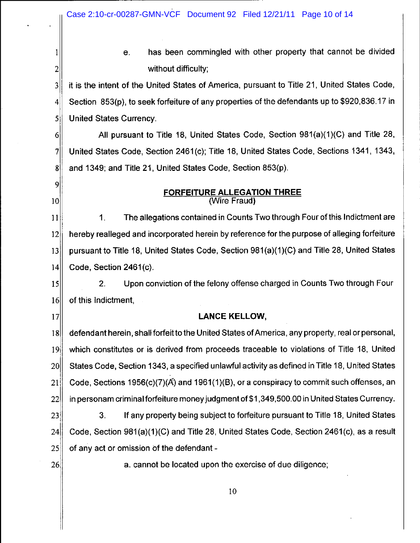Case 2:10-cr-00287-GMN-VCF Document 92 Filed 12/21/11 Page 10 of 14 has been commingled with other property that cannot be divided  $\mathbf{1}$ е.  $\overline{2}$ without difficulty; it is the intent of the United States of America, pursuant to Title 21, United States Code,  $\overline{3}$ Section 853(p), to seek forfeiture of any properties of the defendants up to \$920,836.17 in  $\overline{4}$  $\mathsf{S}$ **United States Currency.**  $6 \mid$ All pursuant to Title 18. United States Code, Section 981(a)(1)(C) and Title 28,  $7$ United States Code, Section 2461(c); Title 18, United States Code, Sections 1341, 1343,  $\mathbf{g}$ and 1349; and Title 21, United States Code, Section 853(p).  $|9|$ **FORFEITURE ALLEGATION THREE**  $10<sup>1</sup>$ (Wire Fraud)  $1<sub>1</sub>$ The allegations contained in Counts Two through Four of this Indictment are  $11$  $12$ hereby realleged and incorporated herein by reference for the purpose of alleging forfeiture  $|13|$ pursuant to Title 18, United States Code, Section 981(a)(1)(C) and Title 28, United States Code, Section 2461(c).  $|4|$ Upon conviction of the felony offense charged in Counts Two through Four  $15<sup>1</sup>$  $2.$  $16$ of this Indictment,  $17<sup>1</sup>$ **LANCE KELLOW.** defendant herein, shall forfeit to the United States of America, any property, real or personal,  $|8|$  $19<sup>1</sup>$ which constitutes or is derived from proceeds traceable to violations of Title 18, United States Code, Section 1343, a specified unlawful activity as defined in Title 18, United States  $20<sup>1</sup>$ 

Code, Sections 1956(c)(7)(A) and 1961(1)(B), or a conspiracy to commit such offenses, an  $|21|$  $22$ in personam criminal forfeiture money judgment of \$1,349,500.00 in United States Currency.

If any property being subject to forfeiture pursuant to Title 18, United States  $23$ 3. Code, Section 981(a)(1)(C) and Title 28, United States Code, Section 2461(c), as a result  $24$ of any act or omission of the defendant - $25$ 

 $26<sub>l</sub>$ 

a. cannot be located upon the exercise of due diligence;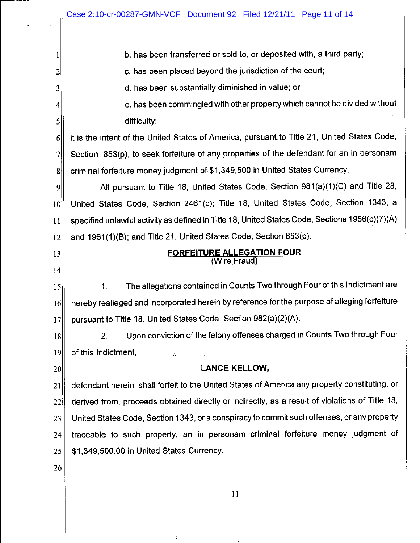| 1                  | b. has been transferred or sold to, or deposited with, a third party;                          |
|--------------------|------------------------------------------------------------------------------------------------|
| 2                  | c. has been placed beyond the jurisdiction of the court;                                       |
| 3                  | d. has been substantially diminished in value; or                                              |
| $\left  4 \right $ | e. has been commingled with other property which cannot be divided without                     |
| 5                  | difficulty;                                                                                    |
| 6                  | it is the intent of the United States of America, pursuant to Title 21, United States Code,    |
| 7                  | Section 853(p), to seek forfeiture of any properties of the defendant for an in personam       |
| 8 <sup>1</sup>     | criminal forfeiture money judgment of \$1,349,500 in United States Currency.                   |
| 9                  | All pursuant to Title 18, United States Code, Section 981(a)(1)(C) and Title 28,               |
| 10                 | United States Code, Section 2461(c); Title 18, United States Code, Section 1343, a             |
| 11                 | specified unlawful activity as defined in Title 18, United States Code, Sections 1956(c)(7)(A) |
| 12                 | and 1961(1)(B); and Title 21, United States Code, Section 853(p).                              |
| 13                 | <b>FORFEITURE ALLEGATION FOUR</b><br>(Wire Fraud)                                              |
| 4                  |                                                                                                |
| 15                 | The allegations contained in Counts Two through Four of this Indictment are<br>1.              |
| 16                 | hereby realleged and incorporated herein by reference for the purpose of alleging forfeiture   |
| 17                 | pursuant to Title 18, United States Code, Section 982(a)(2)(A).                                |
| 18                 | Upon conviction of the felony offenses charged in Counts Two through Four<br>2.                |
| 19                 | of this Indictment,<br>$\mathbf{f}$                                                            |
| 20                 | <b>LANCE KELLOW,</b>                                                                           |
| 21                 | defendant herein, shall forfeit to the United States of America any property constituting, or  |
| 22                 | derived from, proceeds obtained directly or indirectly, as a result of violations of Title 18, |
| 23                 | United States Code, Section 1343, or a conspiracy to commit such offenses, or any property     |
| 24                 | traceable to such property, an in personam criminal forfeiture money judgment of               |
| 25                 | \$1,349,500.00 in United States Currency.                                                      |
| 26                 |                                                                                                |
|                    |                                                                                                |

 $\mathbf{i}$ 

 $\mathcal{L}^{\mathcal{L}}$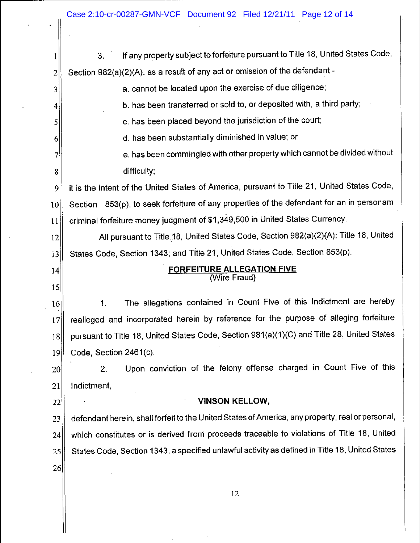$\ddot{\phantom{a}}$ 

| 1              | If any property subject to forfeiture pursuant to Title 18, United States Code,<br>3.            |
|----------------|--------------------------------------------------------------------------------------------------|
| $\overline{c}$ | Section 982(a)(2)(A), as a result of any act or omission of the defendant -                      |
| 3              | a. cannot be located upon the exercise of due diligence;                                         |
| 4              | b. has been transferred or sold to, or deposited with, a third party;                            |
| 5              | c. has been placed beyond the jurisdiction of the court;                                         |
| 6              | d. has been substantially diminished in value; or                                                |
| 7              | e. has been commingled with other property which cannot be divided without                       |
| 8              | difficulty;                                                                                      |
| 9              | it is the intent of the United States of America, pursuant to Title 21, United States Code,      |
| 10             | Section 853(p), to seek forfeiture of any properties of the defendant for an in personam         |
| 11             | criminal forfeiture money judgment of \$1,349,500 in United States Currency.                     |
| 12             | All pursuant to Title 18, United States Code, Section 982(a)(2)(A); Title 18, United             |
| 13             | States Code, Section 1343; and Title 21, United States Code, Section 853(p).                     |
|                |                                                                                                  |
| 14             | <b>FORFEITURE ALLEGATION FIVE</b><br>(Wire Fraud)                                                |
| 15             |                                                                                                  |
| 16             | The allegations contained in Count Five of this Indictment are hereby<br>1.                      |
| 17             | realleged and incorporated herein by reference for the purpose of alleging forfeiture            |
| 18             | pursuant to Title 18, United States Code, Section 981(a)(1)(C) and Title 28, United States       |
| 19             | Code, Section 2461(c).                                                                           |
| 20             | Upon conviction of the felony offense charged in Count Five of this<br>2.                        |
| 21             | Indictment,                                                                                      |
| 22             | <b>VINSON KELLOW,</b>                                                                            |
| 23             | defendant herein, shall forfeit to the United States of America, any property, real or personal, |
| 24             | which constitutes or is derived from proceeds traceable to violations of Title 18, United        |
| 25             | States Code, Section 1343, a specified unlawful activity as defined in Title 18, United States   |
| 26             |                                                                                                  |
|                | 12                                                                                               |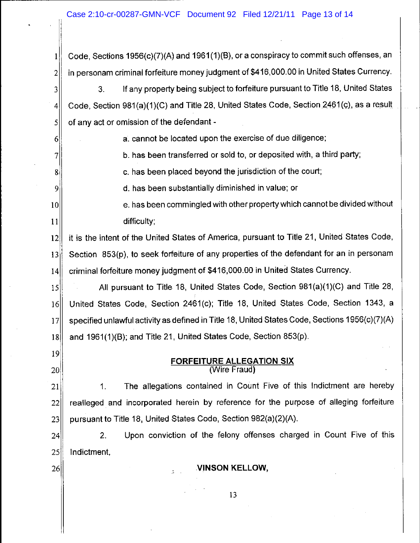$\mathbf{1}$ 

 $\overline{2}$ 

 $6<sup>1</sup>$ 

 $\overline{7}$ 

 $8<sup>1</sup>$ 

9

 $|19|$ 

 $20<sup>1</sup>$ 

 $26$ 

Code, Sections 1956(c)(7)(A) and 1961(1)(B), or a conspiracy to commit such offenses, an in personam criminal forfeiture money judgment of \$416,000.00 in United States Currency.

If any property being subject to forfeiture pursuant to Title 18, United States 3.  $\overline{3}$ Code, Section 981(a)(1)(C) and Title 28, United States Code, Section 2461(c), as a result  $|4|$ of any act or omission of the defendant - $\mathsf{S}$ 

a. cannot be located upon the exercise of due diligence;

b. has been transferred or sold to, or deposited with, a third party;

c, has been placed beyond the jurisdiction of the court;

d, has been substantially diminished in value; or

e. has been commingled with other property which cannot be divided without  $10<sup>1</sup>$  $11$ difficulty:

it is the intent of the United States of America, pursuant to Title 21, United States Code,  $|12|$ Section 853(p), to seek forfeiture of any properties of the defendant for an in personam  $|13|$ criminal forfeiture money judgment of \$416,000.00 in United States Currency.  $14$ 

All pursuant to Title 18, United States Code, Section 981(a)(1)(C) and Title 28.  $15<sup>2</sup>$  $16$ United States Code, Section 2461(c); Title 18, United States Code, Section 1343, a specified unlawful activity as defined in Title 18, United States Code, Sections 1956(c)(7)(A)  $17$ and 1961(1)(B); and Title 21, United States Code, Section 853(p).  $18<sup>1</sup>$ 

# **FORFEITURE ALLEGATION SIX** (Wire Fraud)

The allegations contained in Count Five of this Indictment are hereby 1. 21 realleged and incorporated herein by reference for the purpose of alleging forfeiture  $22$ pursuant to Title 18, United States Code, Section 982(a)(2)(A).  $|23|$ 

Upon conviction of the felony offenses charged in Count Five of this  $2.$  $24<sup>1</sup>$  $25$ Indictment,

VINSON KELLOW,